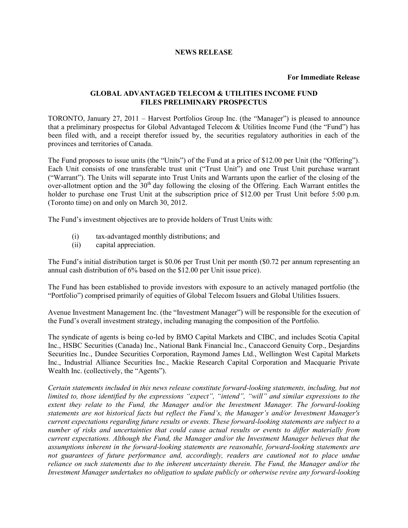## **NEWS RELEASE**

## **For Immediate Release**

## **GLOBAL ADVANTAGED TELECOM & UTILITIES INCOME FUND FILES PRELIMINARY PROSPECTUS**

TORONTO, January 27, 2011 – Harvest Portfolios Group Inc. (the "Manager") is pleased to announce that a preliminary prospectus for Global Advantaged Telecom & Utilities Income Fund (the "Fund") has been filed with, and a receipt therefor issued by, the securities regulatory authorities in each of the provinces and territories of Canada.

The Fund proposes to issue units (the "Units") of the Fund at a price of \$12.00 per Unit (the "Offering"). Each Unit consists of one transferable trust unit ("Trust Unit") and one Trust Unit purchase warrant ("Warrant"). The Units will separate into Trust Units and Warrants upon the earlier of the closing of the over-allotment option and the  $30<sup>th</sup>$  day following the closing of the Offering. Each Warrant entitles the holder to purchase one Trust Unit at the subscription price of \$12.00 per Trust Unit before 5:00 p.m. (Toronto time) on and only on March 30, 2012.

The Fund's investment objectives are to provide holders of Trust Units with:

- (i) tax-advantaged monthly distributions; and
- (ii) capital appreciation.

The Fund's initial distribution target is \$0.06 per Trust Unit per month (\$0.72 per annum representing an annual cash distribution of 6% based on the \$12.00 per Unit issue price).

The Fund has been established to provide investors with exposure to an actively managed portfolio (the "Portfolio") comprised primarily of equities of Global Telecom Issuers and Global Utilities Issuers.

Avenue Investment Management Inc. (the "Investment Manager") will be responsible for the execution of the Fund's overall investment strategy, including managing the composition of the Portfolio.

The syndicate of agents is being co-led by BMO Capital Markets and CIBC, and includes Scotia Capital Inc., HSBC Securities (Canada) Inc., National Bank Financial Inc., Canaccord Genuity Corp., Desjardins Securities Inc., Dundee Securities Corporation, Raymond James Ltd., Wellington West Capital Markets Inc., Industrial Alliance Securities Inc., Mackie Research Capital Corporation and Macquarie Private Wealth Inc. (collectively, the "Agents").

*Certain statements included in this news release constitute forward-looking statements, including, but not limited to, those identified by the expressions "expect", "intend", "will" and similar expressions to the extent they relate to the Fund, the Manager and/or the Investment Manager. The forward-looking statements are not historical facts but reflect the Fund's, the Manager's and/or Investment Manager's current expectations regarding future results or events. These forward-looking statements are subject to a number of risks and uncertainties that could cause actual results or events to differ materially from current expectations. Although the Fund, the Manager and/or the Investment Manager believes that the assumptions inherent in the forward-looking statements are reasonable, forward-looking statements are not guarantees of future performance and, accordingly, readers are cautioned not to place undue reliance on such statements due to the inherent uncertainty therein. The Fund, the Manager and/or the Investment Manager undertakes no obligation to update publicly or otherwise revise any forward-looking*